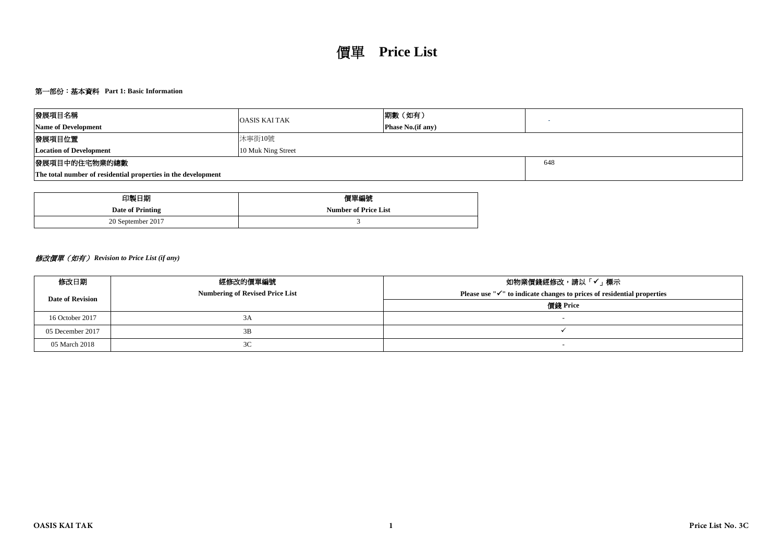# 第一部份:基本資料 **Part 1: Basic Information**

| 發展項目名稱                                                        | <b>OASIS KAI TAK</b> | 期數(如有)                    |  |  |  |  |  |  |  |  |  |
|---------------------------------------------------------------|----------------------|---------------------------|--|--|--|--|--|--|--|--|--|
| <b>Name of Development</b>                                    |                      | <b>Phase No.</b> (if any) |  |  |  |  |  |  |  |  |  |
| 發展項目位置                                                        | 沐寧街10號               |                           |  |  |  |  |  |  |  |  |  |
| <b>Location of Development</b>                                | 10 Muk Ning Street   |                           |  |  |  |  |  |  |  |  |  |
| 發展項目中的住宅物業的總數                                                 | 648                  |                           |  |  |  |  |  |  |  |  |  |
| The total number of residential properties in the development |                      |                           |  |  |  |  |  |  |  |  |  |

| 印製日期              | 價單編號                        |
|-------------------|-----------------------------|
| Date of Printing  | <b>Number of Price List</b> |
| 20 September 2017 |                             |

# 修改價單(如有) *Revision to Price List (if any)*

| 修改日期                    | 經修改的價單編號                               | 如物業價錢經修改,請以「✔」標示                                                                |
|-------------------------|----------------------------------------|---------------------------------------------------------------------------------|
| <b>Date of Revision</b> | <b>Numbering of Revised Price List</b> | Please use $\mathbb{V}$ to indicate changes to prices of residential properties |
|                         |                                        | 價錢 Price                                                                        |
| 16 October 2017         | 3A                                     |                                                                                 |
| 05 December 2017        | 3B                                     |                                                                                 |
| 05 March 2018           | 3C                                     | $\overline{\phantom{0}}$                                                        |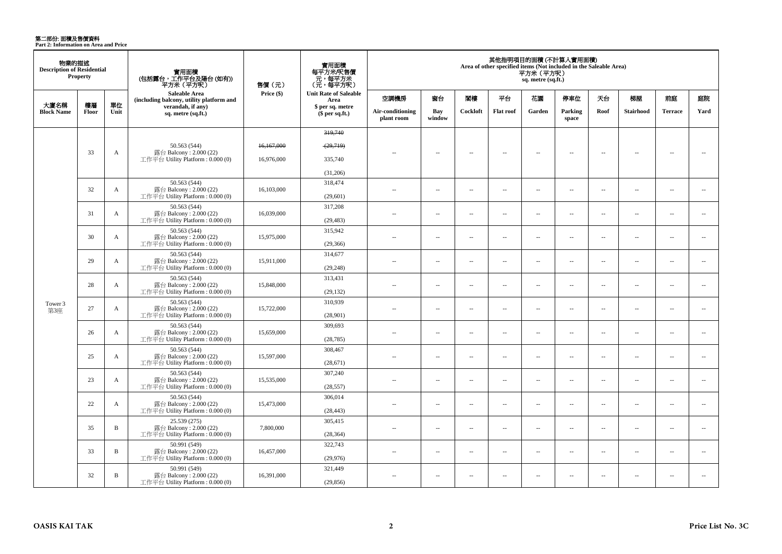**第二部份: 面積及售價資料**<br>Part 2: Information on Area and Price

| 物業的描述<br><b>Description of Residential</b><br><b>Property</b> |             |              | 實用面積<br>(包括露台,工作平台及陽台 (如有))<br>平方米(平方呎)                      | 售價(元)      | 實用面積<br>每平方米/呎售價<br>、元,每平方米<br>(元,每平方呎) | 其他指明項目的面積(不計算入實用面積)<br>Area of other specified items (Not included in the Saleable Area)<br>平方米 (平方呎)<br>sq. metre (sq.ft.) |                          |                          |                          |                          |                          |                          |                          |                          |                          |  |  |
|---------------------------------------------------------------|-------------|--------------|--------------------------------------------------------------|------------|-----------------------------------------|-----------------------------------------------------------------------------------------------------------------------------|--------------------------|--------------------------|--------------------------|--------------------------|--------------------------|--------------------------|--------------------------|--------------------------|--------------------------|--|--|
|                                                               |             |              | Saleable Area<br>(including balcony, utility platform and    | Price (\$) | <b>Unit Rate of Saleable</b><br>Area    | 空調機房                                                                                                                        | 窗台                       | 閣樓                       | 平台                       | 花園                       | 停車位                      | 天台                       | 梯屋                       | 前庭                       | 庭院                       |  |  |
| 大廈名稱<br><b>Block Name</b>                                     | 樓層<br>Floor | 單位<br>Unit   | verandah, if any)<br>sq. metre (sq.ft.)                      |            | \$ per sq. metre<br>\$per sq.ft.)       | Air-conditioning<br>plant room                                                                                              | Bay<br>window            | Cockloft                 | <b>Flat roof</b>         | Garden                   | Parking<br>space         | Roof                     | <b>Stairhood</b>         | <b>Terrace</b>           | Yard                     |  |  |
|                                                               |             |              |                                                              |            | 319,740                                 |                                                                                                                             |                          |                          |                          |                          |                          |                          |                          |                          |                          |  |  |
|                                                               |             |              | 50.563 (544)                                                 | 16,167,000 | (29,719)                                |                                                                                                                             |                          |                          |                          |                          |                          |                          |                          |                          |                          |  |  |
|                                                               | 33          | A            | 露台 Balcony: 2.000 (22)<br>工作平台 Utility Platform : $0.000(0)$ | 16.976.000 | 335,740                                 | $-$                                                                                                                         | $\overline{\phantom{a}}$ | $\sim$                   | $\overline{\phantom{a}}$ | $\sim$                   | $\sim$                   | $\sim$                   | $\sim$                   | $\overline{\phantom{a}}$ | $\sim$                   |  |  |
|                                                               |             |              |                                                              |            | (31,206)                                |                                                                                                                             |                          |                          |                          |                          |                          |                          |                          |                          |                          |  |  |
|                                                               |             |              | 50.563 (544)                                                 |            | 318,474                                 |                                                                                                                             |                          |                          |                          |                          |                          |                          |                          |                          |                          |  |  |
|                                                               | 32          | $\mathbf{A}$ | 露台 Balcony: 2.000 (22)<br>工作平台 Utility Platform: 0.000 (0)   | 16,103,000 | (29,601)                                | $\sim$ $-$                                                                                                                  | $\overline{\phantom{a}}$ | $\sim$                   | $\overline{\phantom{a}}$ | $\overline{\phantom{a}}$ | $\overline{\phantom{a}}$ | ÷.                       | $\overline{\phantom{a}}$ | Ξ.                       | $\overline{\phantom{a}}$ |  |  |
|                                                               | 31          | $\mathbf{A}$ | 50.563 (544)<br>露台 Balcony: 2.000 (22)                       | 16,039,000 | 317,208                                 | $\sim$                                                                                                                      | $\sim$                   | $\sim$                   | $\sim$                   | $\sim$ $\sim$            | $\sim$                   | $\overline{\phantom{a}}$ | $\sim$                   | $\sim$                   | $\sim$                   |  |  |
|                                                               |             |              | 工作平台 Utility Platform: 0.000 (0)                             |            | (29, 483)                               |                                                                                                                             |                          |                          |                          |                          |                          |                          |                          |                          |                          |  |  |
|                                                               | 30          | A            | 50.563 (544)<br>露台 Balcony: 2.000 (22)                       | 15,975,000 | 315,942                                 | $\sim$                                                                                                                      | $\sim$                   | $\sim$                   | $\sim$                   | $\sim$                   | $\sim$                   | $\sim$                   | $\sim$                   | $\overline{a}$           | $\sim$                   |  |  |
|                                                               |             |              | 工作平台 Utility Platform: 0.000 (0)                             |            | (29,366)                                |                                                                                                                             |                          |                          |                          |                          |                          |                          |                          |                          |                          |  |  |
|                                                               | 29          | A            | 50.563 (544)<br>露台 Balcony: 2.000 (22)                       | 15,911,000 | 314,677                                 | $\sim$                                                                                                                      | $\overline{\phantom{a}}$ | ٠.                       | $\sim$                   | $\sim$ $\sim$            | $\sim$                   | $\overline{\phantom{a}}$ | $\sim$                   | $\overline{\phantom{a}}$ | $\overline{a}$           |  |  |
|                                                               |             |              | 工作平台 Utility Platform: 0.000 (0)                             |            | (29, 248)                               |                                                                                                                             |                          |                          |                          |                          |                          |                          |                          |                          |                          |  |  |
|                                                               | 28          | $\mathbf{A}$ | 50.563 (544)<br>露台 Balcony: 2.000 (22)                       | 15,848,000 | 313,431                                 | $\sim$                                                                                                                      | $\overline{\phantom{a}}$ | $\sim$                   | $\sim$                   | $\overline{\phantom{a}}$ | $\overline{\phantom{a}}$ | $\overline{\phantom{a}}$ | $\sim$                   | μ.                       | $\overline{\phantom{a}}$ |  |  |
|                                                               |             |              | 工作平台 Utility Platform: 0.000 (0)<br>50.563 (544)             |            | (29, 132)<br>310,939                    |                                                                                                                             |                          |                          |                          |                          |                          |                          |                          |                          |                          |  |  |
| Tower 3<br>第3座                                                | 27          | A            | 露台 Balcony: 2.000 (22)                                       | 15,722,000 |                                         | $\sim$                                                                                                                      | $\sim$                   | $\sim$                   | $\sim$                   | $\sim$ $\sim$            | $\sim$                   | $\overline{\phantom{a}}$ | $\sim$                   | $\overline{a}$           | $\overline{\phantom{a}}$ |  |  |
|                                                               |             |              | 工作平台 Utility Platform : 0.000 (0)<br>50.563 (544)            |            | (28,901)<br>309,693                     |                                                                                                                             |                          |                          |                          |                          |                          |                          |                          |                          |                          |  |  |
|                                                               | 26          | A            | 露台 Balcony: 2.000 (22)<br>工作平台 Utility Platform : $0.000(0)$ | 15,659,000 | (28, 785)                               | $\overline{\phantom{a}}$                                                                                                    | $\sim$                   | $\overline{\phantom{a}}$ | $\overline{\phantom{a}}$ | $\overline{\phantom{a}}$ | $\overline{\phantom{a}}$ | $\overline{\phantom{a}}$ | $\sim$                   | --                       | $\sim$                   |  |  |
|                                                               |             |              | 50.563 (544)                                                 |            | 308,467                                 |                                                                                                                             |                          |                          |                          |                          |                          |                          |                          |                          |                          |  |  |
|                                                               | 25          | A            | 露台 Balcony: 2.000 (22)<br>工作平台 Utility Platform : $0.000(0)$ | 15,597,000 | (28,671)                                | $\sim$ $-$                                                                                                                  | $\sim$                   | $\sim$                   | $\overline{\phantom{a}}$ | $\overline{\phantom{a}}$ | $\overline{\phantom{a}}$ | $\overline{\phantom{a}}$ | $\overline{\phantom{a}}$ | --                       | $\sim$                   |  |  |
|                                                               |             |              | 50.563 (544)                                                 |            | 307,240                                 |                                                                                                                             |                          |                          |                          |                          |                          |                          |                          |                          |                          |  |  |
|                                                               | 23          | A            | 露台 Balcony: 2.000 (22)<br>工作平台 Utility Platform: 0.000 (0)   | 15,535,000 | (28, 557)                               | $\sim$                                                                                                                      | $\overline{\phantom{a}}$ | $\sim$                   | $\sim$                   | $\overline{a}$           | $\sim$                   | $\overline{\phantom{a}}$ | $\overline{\phantom{a}}$ | $\overline{\phantom{a}}$ | $\overline{\phantom{a}}$ |  |  |
|                                                               |             |              | 50.563 (544)                                                 |            | 306,014                                 |                                                                                                                             |                          |                          |                          |                          |                          |                          |                          |                          |                          |  |  |
|                                                               | 22          | A            | 露台 Balcony: 2.000 (22)<br>工作平台 Utility Platform: 0.000 (0)   | 15,473,000 | (28, 443)                               | $\sim$ $-$                                                                                                                  | $\overline{\phantom{a}}$ | ÷.                       | $\sim$                   | $\overline{a}$           | $\sim$                   | $\sim$                   | $\sim$                   | $\overline{\phantom{a}}$ | $\overline{a}$           |  |  |
|                                                               | 35          | $\, {\bf B}$ | 25.539 (275)<br>露台 Balcony: 2.000 (22)                       | 7,800,000  | 305,415                                 | $\sim$                                                                                                                      | $\sim$                   | ÷.                       | $\sim$                   | $\overline{\phantom{a}}$ | $\sim$                   | ÷.                       | ÷.                       | Ξ.                       | $\overline{\phantom{a}}$ |  |  |
|                                                               |             |              | 工作平台 Utility Platform : $0.000(0)$                           |            | (28, 364)                               |                                                                                                                             |                          |                          |                          |                          |                          |                          |                          |                          |                          |  |  |
|                                                               | 33          | $\, {\bf B}$ | 50.991 (549)<br>露台 Balcony: 2.000 (22)                       | 16.457,000 | 322,743                                 | $-$                                                                                                                         | $\overline{\phantom{a}}$ | $\sim$                   | $\sim$                   | $\sim$ $\sim$            | $\sim$                   | $\overline{\phantom{a}}$ | $\sim$                   | $\overline{\phantom{a}}$ | $\overline{\phantom{a}}$ |  |  |
|                                                               |             |              | 工作平台 Utility Platform: 0.000 (0)                             |            | (29,976)                                |                                                                                                                             |                          |                          |                          |                          |                          |                          |                          |                          |                          |  |  |
|                                                               | 32          | $\, {\bf B}$ | 50.991 (549)<br>露台 Balcony: 2.000 (22)                       | 16,391,000 | 321,449                                 | $\sim$                                                                                                                      | $\sim$                   | $\sim$                   | $\sim$                   | $\sim$ $\sim$            | $\sim$                   | $\sim$                   | $\sim$                   | $\sim$                   | $\overline{a}$           |  |  |
|                                                               |             |              | 工作平台 Utility Platform: 0.000 (0)                             |            | (29, 856)                               |                                                                                                                             |                          |                          |                          |                          |                          |                          |                          |                          |                          |  |  |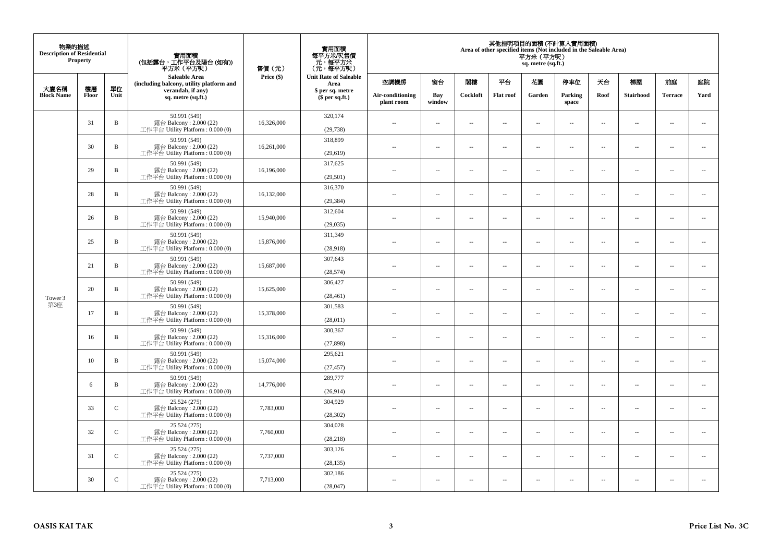| 物業的描述<br><b>Description of Residential</b><br>Property |       |              | 實用面積<br>(包括露台,工作平台及陽台(如有))<br>平方米(平方呎)                                      | 售價(元)      | 實用面積<br>每平方米/呎售價<br>- 元, 每平方米<br>(元, 每平方呎) | 其他指明項目的面積 (不計算入實用面積)<br>Area of other specified items (Not included in the Saleable Area)<br>平方米 (平方呎)<br>sq. metre (sq.ft.) |                          |                          |                          |                          |                          |                          |                          |                          |                             |  |
|--------------------------------------------------------|-------|--------------|-----------------------------------------------------------------------------|------------|--------------------------------------------|------------------------------------------------------------------------------------------------------------------------------|--------------------------|--------------------------|--------------------------|--------------------------|--------------------------|--------------------------|--------------------------|--------------------------|-----------------------------|--|
| 大廈名稱                                                   | 樓層    | 單位           | Saleable Area<br>(including balcony, utility platform and                   | Price (\$) | <b>Unit Rate of Saleable</b><br>Area       | 空調機房                                                                                                                         | 窗台                       | 閨樓                       | 平台                       | 花園                       | 停車位                      | 天台                       | 梯屋                       | 前庭                       | 庭院                          |  |
| <b>Block Name</b>                                      | Floor | Unit         | verandah, if any)<br>sq. metre (sq.ft.)                                     |            | \$ per sq. metre<br>\$per sq.ft.)          | Air-conditioning<br>plant room                                                                                               | Bay<br>window            | Cockloft                 | <b>Flat roof</b>         | Garden                   | Parking<br>space         | Roof                     | Stairhood                | <b>Terrace</b>           | Yard                        |  |
|                                                        | 31    | $\, {\bf B}$ | 50.991 (549)<br>露台 Balcony: 2.000 (22)<br>工作平台 Utility Platform: 0.000 (0)  | 16,326,000 | 320,174<br>(29, 738)                       | ÷.                                                                                                                           | $\ldots$                 | $\sim$                   | μ.                       | $\overline{a}$           | $\sim$                   | $\overline{\phantom{a}}$ | Ξ.                       | $\ddot{\phantom{a}}$     | $\overline{\phantom{a}}$    |  |
|                                                        | 30    | $\, {\bf B}$ | 50.991 (549)<br>露台 Balcony: 2.000 (22)<br>工作平台 Utility Platform : 0.000 (0) | 16,261,000 | 318,899<br>(29,619)                        | $\sim$                                                                                                                       | $\sim$                   | $\sim$                   | $\sim$                   | $\sim$                   | $\sim$                   | $\sim$                   | $\overline{a}$           | $\sim$                   | $\sim$                      |  |
|                                                        | 29    | $\, {\bf B}$ | 50.991 (549)<br>露台 Balcony: 2.000 (22)<br>工作平台 Utility Platform : 0.000 (0) | 16,196,000 | 317,625<br>(29, 501)                       | $\overline{\phantom{a}}$                                                                                                     | $\overline{\phantom{a}}$ | $\sim$                   | μ.                       | $\overline{\phantom{a}}$ | $\overline{\phantom{a}}$ | $\overline{\phantom{a}}$ | Ξ.                       | $\overline{\phantom{a}}$ | $\overline{\phantom{a}}$    |  |
|                                                        | 28    | $\, {\bf B}$ | 50.991 (549)<br>露台 Balcony: 2.000 (22)<br>工作平台 Utility Platform: 0.000 (0)  | 16,132,000 | 316,370<br>(29, 384)                       | $\sim$                                                                                                                       | $\overline{a}$           | $\sim$                   | $\sim$                   | $\sim$ $\sim$            | $\sim$                   | $\sim$                   | $\overline{\phantom{a}}$ | $\sim$                   | $\sim$                      |  |
|                                                        | 26    | $\, {\bf B}$ | 50.991 (549)<br>露台 Balcony: 2.000 (22)<br>工作平台 Utility Platform: 0.000 (0)  | 15,940,000 | 312,604<br>(29, 035)                       |                                                                                                                              | --                       | $\sim$                   | --                       | $\overline{\phantom{a}}$ | $\overline{\phantom{a}}$ | $\overline{\phantom{a}}$ | --                       | $\ddotsc$                | $\overline{\phantom{a}}$    |  |
|                                                        | 25    | $\, {\bf B}$ | 50.991 (549)<br>露台 Balcony: 2.000 (22)<br>工作平台 Utility Platform: 0.000 (0)  | 15,876,000 | 311.349<br>(28,918)                        | $\sim$                                                                                                                       | $\sim$                   | $\sim$                   | $\sim$                   | $\sim$ $\sim$            | $\overline{\phantom{a}}$ | $\sim$                   | $\sim$                   | $\overline{\phantom{a}}$ | $\overline{\phantom{a}}$    |  |
|                                                        | 21    | $\mathbf B$  | 50.991 (549)<br>露台 Balcony: 2.000 (22)<br>工作平台 Utility Platform: 0.000 (0)  | 15,687,000 | 307,643<br>(28, 574)                       | ÷.                                                                                                                           | μ.                       | ÷.                       | μ.                       | $\sim$                   | $\sim$                   | $\overline{\phantom{a}}$ | Ξ.                       | $\ddot{\phantom{a}}$     | $\sim$                      |  |
| Tower 3                                                | 20    | $\, {\bf B}$ | 50.991 (549)<br>露台 Balcony: 2.000 (22)<br>工作平台 Utility Platform: 0.000 (0)  | 15,625,000 | 306,427<br>(28, 461)                       | $\overline{\phantom{a}}$                                                                                                     | $\sim$                   | $\sim$                   | $\sim$                   | $\sim$ $\sim$            | $\sim$                   | $\overline{\phantom{a}}$ | $\sim$                   | $\sim$                   | $\mathcal{L}_{\mathcal{A}}$ |  |
| 第3座                                                    | 17    | $\, {\bf B}$ | 50.991 (549)<br>露台 Balcony: 2.000 (22)<br>工作平台 Utility Platform: 0.000 (0)  | 15,378,000 | 301,583<br>(28,011)                        | 44                                                                                                                           | $\overline{\phantom{a}}$ | $\sim$                   | μ.                       | $\sim$                   | $\sim$                   | $\overline{\phantom{a}}$ | Ξ.                       | $\ddot{\phantom{a}}$     | $\overline{\phantom{a}}$    |  |
|                                                        | 16    | B            | 50.991 (549)<br>露台 Balcony: 2.000 (22)<br>工作平台 Utility Platform : 0.000 (0) | 15,316,000 | 300,367<br>(27, 898)                       | $\sim$                                                                                                                       | $\overline{a}$           | $\sim$                   | $\sim$                   | $\overline{a}$           | $\sim$                   | $\sim$                   | $\overline{\phantom{a}}$ | $\sim$                   | $\overline{\phantom{a}}$    |  |
|                                                        | 10    | $\, {\bf B}$ | 50.991 (549)<br>露台 Balcony: 2.000 (22)<br>工作平台 Utility Platform : 0.000 (0) | 15,074,000 | 295,621<br>(27, 457)                       | 44                                                                                                                           | $\overline{\phantom{a}}$ | $\overline{\phantom{a}}$ | --                       | $\overline{\phantom{a}}$ | $\overline{\phantom{a}}$ | $\overline{\phantom{a}}$ | $\overline{\phantom{a}}$ | $\overline{\phantom{a}}$ | $\overline{\phantom{a}}$    |  |
|                                                        | 6     | B            | 50.991 (549)<br>露台 Balcony: 2.000 (22)<br>工作平台 Utility Platform : 0.000 (0) | 14,776,000 | 289,777<br>(26,914)                        | $\sim$                                                                                                                       | $\overline{\phantom{a}}$ | $\sim$                   | $\sim$                   | $\sim$                   | $\sim$                   | $\overline{\phantom{a}}$ | $\overline{a}$           | $\ddot{\phantom{a}}$     | $\sim$                      |  |
|                                                        | 33    | $\mathbf C$  | 25.524 (275)<br>露台 Balcony: 2.000 (22)<br>工作平台 Utility Platform: 0.000 (0)  | 7,783,000  | 304,929<br>(28, 302)                       | ÷.                                                                                                                           | $\ldots$                 | $\sim$                   | μ.                       | $\overline{a}$           | $\sim$                   | $\overline{\phantom{a}}$ | $\overline{\phantom{a}}$ | $\ddot{\phantom{a}}$     | $\sim$                      |  |
|                                                        | 32    | $\mathbf C$  | 25.524 (275)<br>露台 Balcony: 2.000 (22)<br>工作平台 Utility Platform: 0.000 (0)  | 7,760,000  | 304,028<br>(28, 218)                       | $\sim$                                                                                                                       | $\overline{\phantom{a}}$ | $\sim$                   | $\overline{\phantom{a}}$ | $\overline{\phantom{a}}$ | $\overline{\phantom{a}}$ | $\sim$                   | $\overline{\phantom{a}}$ | $\overline{\phantom{a}}$ | $\overline{\phantom{a}}$    |  |
|                                                        | 31    | $\mathsf{C}$ | 25.524 (275)<br>露台 Balcony: 2.000 (22)<br>工作平台 Utility Platform : 0.000 (0) | 7,737,000  | 303,126<br>(28, 135)                       | $\sim$                                                                                                                       | $\overline{\phantom{a}}$ | $\sim$                   | μ.                       | $\sim$                   | $\sim$                   | $\overline{\phantom{a}}$ | $\overline{\phantom{a}}$ | $\ddot{\phantom{a}}$     | $\sim$                      |  |
|                                                        | 30    | $\mathsf{C}$ | 25.524 (275)<br>露台 Balcony: 2.000 (22)<br>工作平台 Utility Platform: 0.000 (0)  | 7,713,000  | 302,186<br>(28,047)                        | $\overline{\phantom{a}}$                                                                                                     | $\sim$                   | $\sim$                   | $\sim$                   | $\sim$ $\sim$            | $\sim$                   | $\sim$                   | $\sim$                   | $\sim$                   |                             |  |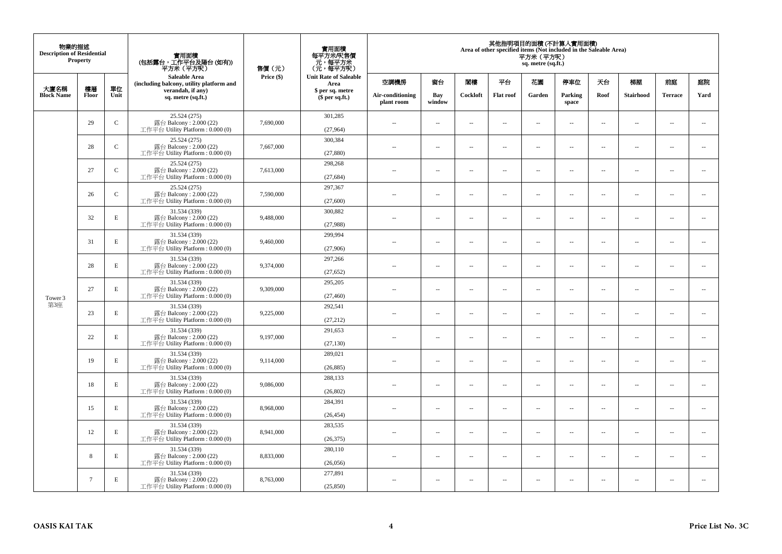| 物業的描述<br><b>Description of Residential</b><br><b>Property</b> |        |              | 實用面積<br>(包括露台,工作平台及陽台(如有))<br>平方米(平方呎)                                       | 售價(元)      | 實用面積<br>每平方米/呎售價<br>- 元, 每平方米<br>(元, 每平方呎) | 其他指明項目的面積 (不計算入實用面積)<br>Area of other specified items (Not included in the Saleable Area)<br>平方米(平方呎)<br>sq. metre (sq.ft.) |                          |                          |                  |                          |                          |                          |                          |                      |                          |  |  |
|---------------------------------------------------------------|--------|--------------|------------------------------------------------------------------------------|------------|--------------------------------------------|-----------------------------------------------------------------------------------------------------------------------------|--------------------------|--------------------------|------------------|--------------------------|--------------------------|--------------------------|--------------------------|----------------------|--------------------------|--|--|
| 大廈名稱                                                          | 樓層     | 單位           | <b>Saleable Area</b><br>(including balcony, utility platform and             | Price (\$) | <b>Unit Rate of Saleable</b><br>Area       | 空調機房                                                                                                                        | 窗台                       | 閣樓                       | 平台               | 花園                       | 停車位                      | 天台                       | 梯屋                       | 前庭                   | 庭院                       |  |  |
| <b>Block Name</b>                                             | Floor  | Unit         | verandah, if any)<br>sq. metre (sq.ft.)                                      |            | \$ per sq. metre<br>$$$ per sq.ft.)        | Air-conditioning<br>plant room                                                                                              | Bay<br>window            | Cockloft                 | <b>Flat</b> roof | Garden                   | Parking<br>space         | Roof                     | Stairhood                | <b>Terrace</b>       | Yard                     |  |  |
|                                                               | 29     | $\mathsf{C}$ | 25.524 (275)<br>露台 Balcony: $2.000(22)$<br>工作平台 Utility Platform: 0.000 (0)  | 7,690,000  | 301,285<br>(27,964)                        | $\ddot{\phantom{a}}$                                                                                                        | $\overline{\phantom{a}}$ | $\sim$                   | μ.               | $\sim$                   | $\sim$                   | $\overline{\phantom{a}}$ | $\overline{\phantom{a}}$ | $\ddot{\phantom{a}}$ | $\overline{\phantom{a}}$ |  |  |
|                                                               | 28     | $\mathbf C$  | 25.524 (275)<br>露台 Balcony: 2.000 (22)<br>工作平台 Utility Platform: 0.000 (0)   | 7,667,000  | 300,384<br>(27, 880)                       | $\sim$                                                                                                                      | $\overline{\phantom{a}}$ | $\sim$                   | μ.               | $\overline{a}$           | $\sim$                   | $\overline{\phantom{a}}$ | $\overline{\phantom{a}}$ | $\ddot{\phantom{a}}$ | $\overline{\phantom{a}}$ |  |  |
|                                                               | 27     | $\mathbf C$  | 25.524 (275)<br>露台 Balcony: 2.000 (22)<br>工作平台 Utility Platform : $0.000(0)$ | 7,613,000  | 298,268<br>(27, 684)                       | $\sim$                                                                                                                      | $\overline{\phantom{a}}$ | $\sim$                   | μ.               | $\ldots$                 | $\overline{\phantom{a}}$ | $\overline{\phantom{a}}$ | $\overline{\phantom{a}}$ | $\ldots$             | $\overline{\phantom{a}}$ |  |  |
|                                                               | 26     | $\mathbf C$  | 25.524 (275)<br>露台 Balcony: 2.000 (22)<br>工作平台 Utility Platform: 0.000 (0)   | 7,590,000  | 297,367<br>(27,600)                        | $\sim$                                                                                                                      | $\sim$                   | $\sim$                   | $\sim$           | $\sim$ $\sim$            | $\sim$                   | $\overline{\phantom{a}}$ | $\sim$                   | $\sim$               | $\overline{\phantom{a}}$ |  |  |
|                                                               | 32     | $\mathbf E$  | 31.534 (339)<br>露台 Balcony: 2.000 (22)<br>工作平台 Utility Platform: 0.000 (0)   | 9,488,000  | 300,882<br>(27,988)                        |                                                                                                                             | $\overline{\phantom{a}}$ | $\sim$                   | $\overline{a}$   | $\sim$                   | $\sim$                   | $\overline{\phantom{a}}$ | Ξ.                       | $\ddot{\phantom{a}}$ | $\sim$                   |  |  |
|                                                               | 31     | E            | 31.534 (339)<br>露台 Balcony: 2.000 (22)<br>工作平台 Utility Platform: 0.000 (0)   | 9,460,000  | 299,994<br>(27,906)                        | $\sim$                                                                                                                      | $\overline{a}$           | $\sim$                   | $\sim$           | $\overline{a}$           | $\sim$                   | $\sim$                   | $\overline{a}$           | $\overline{a}$       | $\sim$                   |  |  |
|                                                               | 28     | $\mathbf E$  | 31.534 (339)<br>露台 Balcony: 2.000 (22)<br>工作平台 Utility Platform: 0.000 (0)   | 9,374,000  | 297,266<br>(27, 652)                       | $\sim$                                                                                                                      | ۰.                       | $\sim$                   | $\sim$           | $\overline{\phantom{a}}$ | $\sim$                   | $\overline{\phantom{a}}$ | ۰.                       | $\sim$               | $\overline{\phantom{a}}$ |  |  |
| Tower 3                                                       | 27     | E            | 31.534 (339)<br>露台 Balcony: 2.000 (22)<br>工作平台 Utility Platform: 0.000 (0)   | 9,309,000  | 295,205<br>(27, 460)                       | $\sim$                                                                                                                      | $\sim$                   | $\sim$                   | $\sim$           | $\sim$                   | $\sim$                   | $\overline{\phantom{a}}$ | $\sim$                   | $\sim$               | $\sim$                   |  |  |
| 第3座                                                           | 23     | $\mathbf E$  | 31.534 (339)<br>露台 Balcony: 2.000 (22)<br>工作平台 Utility Platform: 0.000 (0)   | 9,225,000  | 292,541<br>(27, 212)                       | $\overline{\phantom{a}}$                                                                                                    | $\overline{\phantom{a}}$ | $\sim$                   | μ.               | $\sim$                   | $\sim$                   | $\overline{\phantom{a}}$ | $\sim$                   | $\ddot{\phantom{a}}$ | $\overline{\phantom{a}}$ |  |  |
|                                                               | 22     | E            | 31.534 (339)<br>露台 Balcony: 2.000 (22)<br>工作平台 Utility Platform: 0.000 (0)   | 9,197,000  | 291,653<br>(27, 130)                       | $\sim$                                                                                                                      | $\overline{\phantom{a}}$ | $\sim$                   | μ.               | $\overline{a}$           | $\sim$                   | $\sim$                   | $\sim$                   | $\ddot{\phantom{a}}$ | $\overline{\phantom{a}}$ |  |  |
|                                                               | 19     | $\mathbf E$  | 31.534 (339)<br>露台 Balcony: 2.000 (22)<br>工作平台 Utility Platform : $0.000(0)$ | 9,114,000  | 289,021<br>(26, 885)                       | $\overline{\phantom{a}}$                                                                                                    | $\ldots$                 | $\sim$                   | $\sim$           | $\overline{\phantom{a}}$ | $\overline{\phantom{a}}$ | $\overline{\phantom{a}}$ | $\overline{\phantom{a}}$ | $\ldots$             | $\overline{\phantom{a}}$ |  |  |
|                                                               | 18     | E            | 31.534 (339)<br>露台 Balcony: 2.000 (22)<br>工作平台 Utility Platform: 0.000 (0)   | 9,086,000  | 288,133<br>(26, 802)                       | ×.                                                                                                                          | $\sim$                   | $\sim$                   | $\sim$           | $\sim$ $\sim$            | $\sim$                   | $\overline{\phantom{a}}$ | $\sim$                   | $\sim$               | $\sim$                   |  |  |
|                                                               | 15     | E            | 31.534 (339)<br>露台 Balcony: 2.000 (22)<br>工作平台 Utility Platform : 0.000 (0)  | 8,968,000  | 284,391<br>(26, 454)                       | $\overline{\phantom{a}}$                                                                                                    | $\overline{\phantom{a}}$ | $\sim$                   | $\overline{a}$   | $\overline{\phantom{a}}$ | $\sim$                   | $\sim$                   | $\overline{\phantom{a}}$ | $\ddot{\phantom{a}}$ | $\sim$                   |  |  |
|                                                               | 12     | E            | 31.534 (339)<br>露台 Balcony: 2.000 (22)<br>工作平台 Utility Platform: 0.000 (0)   | 8,941,000  | 283,535<br>(26, 375)                       | $\sim$                                                                                                                      | $\overline{\phantom{a}}$ | $\sim$                   | $\sim$           | $\overline{a}$           | $\sim$                   | $\sim$                   | $\overline{\phantom{a}}$ | $\ddot{\phantom{a}}$ | $\sim$                   |  |  |
|                                                               | 8      | $\mathbf E$  | 31.534 (339)<br>露台 Balcony: 2.000 (22)<br>工作平台 Utility Platform: 0.000 (0)   | 8,833,000  | 280,110<br>(26,056)                        | $\sim$ $-$                                                                                                                  | $\overline{\phantom{a}}$ | $\sim$                   | μ.               | $\overline{\phantom{a}}$ | $\sim$                   | $\overline{\phantom{a}}$ | $\overline{\phantom{a}}$ | $\ddot{\phantom{a}}$ | $\sim$                   |  |  |
|                                                               | $\tau$ | $\mathbf E$  | 31.534 (339)<br>露台 Balcony: 2.000 (22)<br>工作平台 Utility Platform: 0.000 (0)   | 8,763,000  | 277,891<br>(25.850)                        | 44                                                                                                                          | $\overline{\phantom{a}}$ | $\overline{\phantom{a}}$ | --               | $\overline{\phantom{a}}$ | $\overline{\phantom{a}}$ | $\overline{\phantom{a}}$ | $\overline{\phantom{a}}$ | $\ddotsc$            | $\sim$                   |  |  |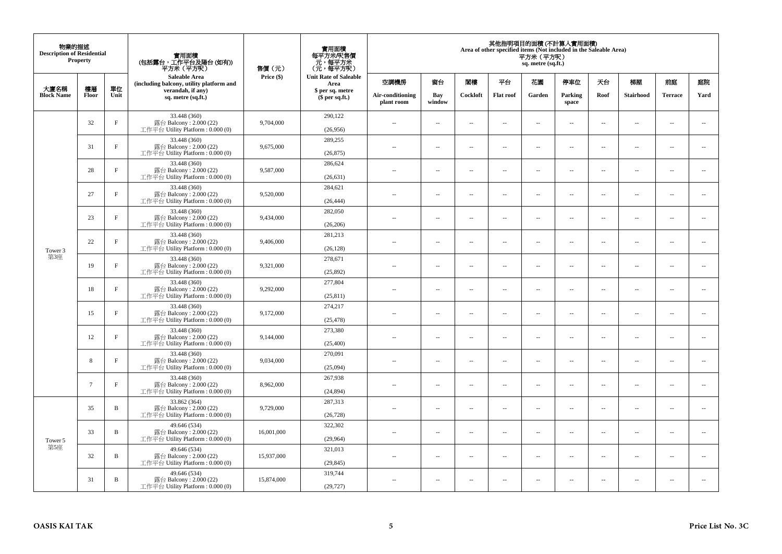| 物業的描述<br><b>Description of Residential</b><br><b>Property</b> |                 |              | 實用面積<br>(包括露台,工作平台及陽台(如有))<br>平方米 (平方呎)<br><b>Saleable Area</b>               | 售價(元)      | 實用面積<br>每平方米/呎售價<br>元,每平方米<br>(元,每平方呎) | 其他指明項目的面積 (不計算入實用面積)<br>Area of other specified items (Not included in the Saleable Area)<br>平方米 (平方呎)<br>sq. metre (sq.ft.) |                          |                          |                          |                          |                          |                          |                          |                |                          |  |  |
|---------------------------------------------------------------|-----------------|--------------|-------------------------------------------------------------------------------|------------|----------------------------------------|------------------------------------------------------------------------------------------------------------------------------|--------------------------|--------------------------|--------------------------|--------------------------|--------------------------|--------------------------|--------------------------|----------------|--------------------------|--|--|
|                                                               |                 |              | (including balcony, utility platform and                                      | Price (\$) | <b>Unit Rate of Saleable</b><br>Area   | 空調機房                                                                                                                         | 窗台                       | 閣樓                       | 平台                       | 花園                       | 停車位                      | 天台                       | 梯屋                       | 前庭             | 庭院                       |  |  |
| 大廈名稱<br><b>Block Name</b>                                     | 樓層<br>Floor     | 單位<br>Unit   | verandah, if any)<br>sq. metre (sq.ft.)                                       |            | \$ per sq. metre<br>$$$ per sq.ft.)    | Air-conditioning<br>plant room                                                                                               | Bay<br>window            | Cockloft                 | <b>Flat roof</b>         | Garden                   | Parking<br>space         | Roof                     | Stairhood                | <b>Terrace</b> | Yard                     |  |  |
|                                                               | 32              | $\rm F$      | 33.448 (360)<br>露台 Balcony: 2.000 (22)<br>工作平台 Utility Platform : 0.000 (0)   | 9,704,000  | 290,122<br>(26,956)                    | $\sim$                                                                                                                       | $\overline{\phantom{a}}$ | $\sim$                   | $\sim$                   | $\overline{a}$           | $\sim$                   | $\overline{\phantom{a}}$ | $\cdots$                 | $\sim$         | $\sim$                   |  |  |
|                                                               | 31              | $_{\rm F}$   | 33.448 (360)<br>露台 Balcony: 2.000 (22)<br>工作平台 Utility Platform: 0.000 (0)    | 9,675,000  | 289,255<br>(26, 875)                   | $\overline{\phantom{a}}$                                                                                                     | $\overline{\phantom{a}}$ | $\sim$                   | $\sim$                   | $\overline{a}$           | $\sim$                   | $\sim$                   | $\overline{\phantom{a}}$ | $\sim$         | $\sim$                   |  |  |
|                                                               | 28              | $_{\rm F}$   | 33.448 (360)<br>露台 Balcony: 2.000 (22)<br>工作平台 Utility Platform: 0.000 (0)    | 9,587,000  | 286,624<br>(26, 631)                   | $\sim$                                                                                                                       | $\overline{\phantom{a}}$ | $\sim$                   | $\overline{\phantom{a}}$ | μ.                       | $\overline{\phantom{a}}$ | $\overline{\phantom{a}}$ | $\overline{\phantom{a}}$ | $\sim$         | $\overline{\phantom{a}}$ |  |  |
|                                                               | 27              | $_{\rm F}$   | 33.448 (360)<br>露台 Balcony: 2.000 (22)<br>工作平台 Utility Platform : $0.000(0)$  | 9,520,000  | 284,621<br>(26, 444)                   | $\sim$                                                                                                                       | $\overline{a}$           | $\sim$                   | $\sim$                   | $\sim$                   | $\sim$                   | $\sim$                   | $\sim$                   | $\sim$         | $\sim$                   |  |  |
|                                                               | 23              | $_{\rm F}$   | 33.448 (360)<br>露台 Balcony: 2.000 (22)<br>工作平台 Utility Platform : $0.000(0)$  | 9,434,000  | 282,050<br>(26, 206)                   |                                                                                                                              | $\sim$                   | ÷.                       | $\sim$                   | μ.                       | $\sim$                   | $\sim$                   | $\overline{\phantom{a}}$ | ÷.             | $\sim$                   |  |  |
|                                                               | 22              | $_{\rm F}$   | 33.448 (360)<br>露台 Balcony: 2.000 (22)<br>工作平台 Utility Platform: 0.000 (0)    | 9,406,000  | 281,213<br>(26, 128)                   | ٠.                                                                                                                           | $\overline{\phantom{a}}$ | $\sim$                   | $\sim$                   | $\overline{\phantom{a}}$ | $\sim$                   | $\sim$                   | $\overline{\phantom{a}}$ | $\sim$         | $\sim$                   |  |  |
| Tower 3<br>第3座                                                | 19              | $\rm F$      | 33.448 (360)<br>露台 Balcony: 2.000 (22)<br>工作平台 Utility Platform : 0.000 (0)   | 9,321,000  | 278,671<br>(25,892)                    | $\sim$                                                                                                                       | $\overline{\phantom{a}}$ | $\overline{\phantom{a}}$ | $\overline{\phantom{a}}$ | --                       | $\overline{\phantom{a}}$ | $\sim$                   | $\overline{\phantom{a}}$ | $\sim$         | $\sim$                   |  |  |
|                                                               | 18              | $_{\rm F}$   | 33.448 (360)<br>露台 Balcony: 2.000 (22)<br>工作平台 Utility Platform: 0.000 (0)    | 9,292,000  | 277,804<br>(25, 811)                   | $\sim$                                                                                                                       | $\overline{a}$           | $\sim$                   | $\sim$                   | $\sim$                   | $\sim$                   | $\sim$                   | $\sim$                   | $\sim$         | $\sim$                   |  |  |
|                                                               | 15              | $_{\rm F}$   | 33.448 (360)<br>露台 Balcony: $2.000(22)$<br>工作平台 Utility Platform : $0.000(0)$ | 9,172,000  | 274,217<br>(25, 478)                   | $-$                                                                                                                          | $\sim$                   | ÷.                       | $\sim$                   | $\overline{a}$           | $\sim$                   | $\overline{\phantom{a}}$ | $\overline{\phantom{a}}$ | $\sim$         | $\sim$                   |  |  |
|                                                               | 12              | $\rm F$      | 33.448 (360)<br>露台 Balcony: 2.000 (22)<br>工作平台 Utility Platform: 0.000 (0)    | 9,144,000  | 273,380<br>(25,400)                    | $\overline{\phantom{a}}$                                                                                                     | $\overline{\phantom{a}}$ | $\sim$                   | $\sim$                   | $\overline{a}$           | $\sim$                   | $\sim$                   | $\overline{\phantom{a}}$ | $\sim$         | $\sim$                   |  |  |
|                                                               | 8               | $\rm F$      | 33.448 (360)<br>露台 Balcony: 2.000 (22)<br>工作平台 Utility Platform: 0.000 (0)    | 9,034,000  | 270,091<br>(25,094)                    | $\overline{\phantom{a}}$                                                                                                     | $\overline{\phantom{a}}$ | $\sim$                   | $\sim$                   | μ.                       | $\overline{\phantom{a}}$ | $\overline{\phantom{a}}$ | $\overline{\phantom{a}}$ | $\sim$         | $\sim$                   |  |  |
|                                                               | $7\phantom{.0}$ | $\mathbf{F}$ | 33.448 (360)<br>露台 Balcony: 2.000 (22)<br>工作平台 Utility Platform: 0.000 (0)    | 8,962,000  | 267,938<br>(24, 894)                   | $\overline{a}$                                                                                                               | $\overline{\phantom{a}}$ | $\sim$                   | $\sim$                   | $\overline{\phantom{a}}$ | $\sim$                   | $\overline{\phantom{a}}$ | $\sim$                   | $\sim$         | $\sim$                   |  |  |
|                                                               | 35              | B            | 33.862 (364)<br>露台 Balcony: 2.000 (22)<br>工作平台 Utility Platform : $0.000(0)$  | 9,729,000  | 287,313<br>(26, 728)                   | $\overline{\phantom{a}}$                                                                                                     | $\sim$                   | $\sim$                   | $\sim$                   | μ.                       | $\sim$                   | $\sim$                   | $\overline{\phantom{a}}$ | $\sim$         | $\sim$                   |  |  |
| Tower 5                                                       | 33              | B            | 49.646 (534)<br>露台 Balcony: 2.000 (22)<br>工作平台 Utility Platform: 0.000 (0)    | 16,001,000 | 322,302<br>(29,964)                    | $\sim$                                                                                                                       | $\overline{\phantom{a}}$ | $\sim$                   | $\sim$                   | $\overline{a}$           | $\sim$                   | $\sim$                   | $\overline{\phantom{a}}$ | $\sim$         | $\sim$                   |  |  |
| 第5座                                                           | 32              | B            | 49.646 (534)<br>露台 Balcony: 2.000 (22)<br>工作平台 Utility Platform : $0.000(0)$  | 15,937,000 | 321,013<br>(29, 845)                   | $-$                                                                                                                          | $\overline{\phantom{a}}$ | $\sim$                   | $\sim$                   | ۰.                       | $\sim$                   | $\overline{\phantom{a}}$ | $\overline{\phantom{a}}$ | $\sim$         | $\sim$                   |  |  |
|                                                               | 31              | B            | 49.646 (534)<br>露台 Balcony: 2.000 (22)<br>工作平台 Utility Platform: 0.000 (0)    | 15,874,000 | 319,744<br>(29, 727)                   | ٠.                                                                                                                           | $\overline{\phantom{a}}$ | 4                        | $\overline{\phantom{a}}$ | --                       | $\sim$                   | $\overline{\phantom{a}}$ | $\overline{\phantom{a}}$ | $\sim$         | $\sim$                   |  |  |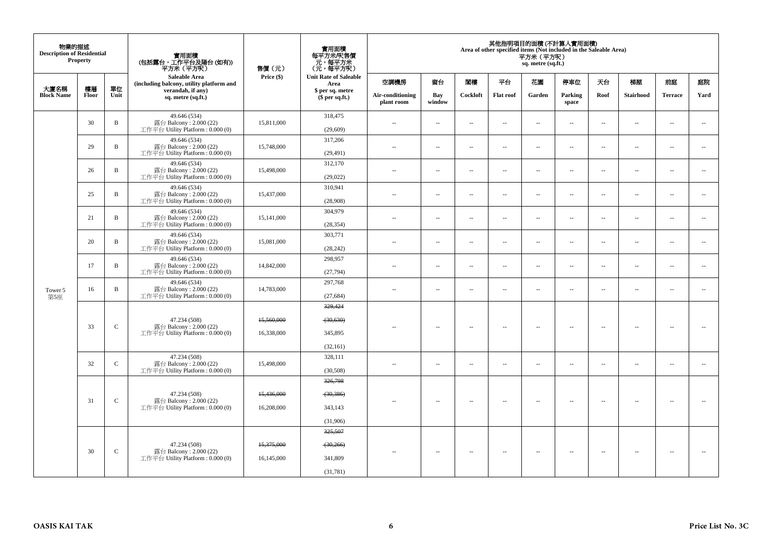| 物業的描述<br><b>Description of Residential</b><br>Property |             |               | 實用面積<br>(包括露台,工作平台及陽台(如有))<br>平方米(平方呎)                                       | 售價(元)      | 實用面積<br>每平方米/呎售價<br>ー・カバント<br>(元・每平方米)<br>(元・每平方呎) | 其他指明項目的面積 (不計算入實用面積)<br>Area of other specified items (Not included in the Saleable Area)<br>平方米 (平方呎)<br>sq. metre (sq.ft.) |                          |                          |                          |                                |                      |                          |                          |           |                          |      |                  |                |      |
|--------------------------------------------------------|-------------|---------------|------------------------------------------------------------------------------|------------|----------------------------------------------------|------------------------------------------------------------------------------------------------------------------------------|--------------------------|--------------------------|--------------------------|--------------------------------|----------------------|--------------------------|--------------------------|-----------|--------------------------|------|------------------|----------------|------|
|                                                        |             |               | Saleable Area<br>(including balcony, utility platform and                    | Price (\$) | <b>Unit Rate of Saleable</b><br>Area               | 空調機房                                                                                                                         | 窗台                       | 関樓                       | 平台                       | 花園                             | 停車位                  | 夭台                       | 梯屋                       | 前庭        | 庭院                       |      |                  |                |      |
| 大廈名稱<br><b>Block Name</b>                              | 樓層<br>Floor | 單位<br>Unit    | verandah, if any)<br>sq. metre (sq.ft.)                                      |            | $$$ per sq.ft.)                                    | \$ per sq. metre                                                                                                             |                          |                          |                          | Air-conditioning<br>plant room | Bay<br>window        | Cockloft                 | <b>Flat roof</b>         | Garden    | Parking<br>space         | Roof | <b>Stairhood</b> | <b>Terrace</b> | Yard |
|                                                        | 30          | $\mathbf B$   | 49.646 (534)<br>露台 Balcony: 2.000 (22)<br>工作平台 Utility Platform : $0.000(0)$ | 15,811,000 | 318,475<br>(29, 609)                               | ÷.                                                                                                                           | $\sim$                   | $\sim$                   | $\sim$                   | μ.                             | $\ddot{\phantom{a}}$ | $\overline{\phantom{a}}$ | $\overline{\phantom{a}}$ | $\bar{a}$ | $\sim$                   |      |                  |                |      |
|                                                        | 29          | B             | 49.646 (534)<br>露台 Balcony: 2.000 (22)<br>工作平台 Utility Platform: 0.000 (0)   | 15,748,000 | 317,206<br>(29, 491)                               | $\sim$                                                                                                                       | ÷.                       | $\overline{\phantom{a}}$ | $\sim$                   | $\overline{a}$                 | $\sim$               | $\overline{\phantom{a}}$ | $\overline{a}$           | $\sim$    | $\sim$                   |      |                  |                |      |
|                                                        | 26          | B             | 49.646 (534)<br>露台 Balcony: 2.000 (22)<br>工作平台 Utility Platform: 0.000 (0)   | 15,498,000 | 312,170<br>(29,022)                                | $\sim$                                                                                                                       | $\overline{\phantom{a}}$ | $\sim$                   | $\overline{\phantom{a}}$ | μ.                             | $\sim$               | $\overline{\phantom{a}}$ | $\overline{\phantom{a}}$ | $\sim$    | $\sim$                   |      |                  |                |      |
|                                                        | 25          | B             | 49.646 (534)<br>露台 Balcony: 2.000 (22)<br>工作平台 Utility Platform : $0.000(0)$ | 15,437,000 | 310,941<br>(28,908)                                | $\sim$                                                                                                                       | $\overline{\phantom{a}}$ | $\sim$                   | $\sim$                   | $\overline{a}$                 | $\sim$               | $\overline{\phantom{a}}$ | $\overline{a}$           | $\sim$    | $\sim$                   |      |                  |                |      |
|                                                        | 21          | B             | 49.646 (534)<br>露台 Balcony: 2.000 (22)<br>工作平台 Utility Platform : $0.000(0)$ | 15,141,000 | 304,979<br>(28, 354)                               | $\sim$                                                                                                                       | $\sim$                   | $\sim$                   | $\sim$                   | μ.                             | $\ddot{\phantom{a}}$ | $\sim$                   | $\overline{\phantom{a}}$ | $\bar{a}$ | $\sim$                   |      |                  |                |      |
|                                                        | 20          | B             | 49.646 (534)<br>露台 Balcony: 2.000 (22)<br>工作平台 Utility Platform: 0.000 (0)   | 15,081,000 | 303,771<br>(28, 242)                               | $\sim$ $-$                                                                                                                   | $\sim$                   | $\sim$                   | $\sim$                   | $\overline{\phantom{a}}$       | $\sim$               | $\overline{\phantom{a}}$ | $\overline{\phantom{a}}$ | $\sim$    | $\sim$                   |      |                  |                |      |
|                                                        | 17          | B             | 49.646 (534)<br>露台 Balcony: 2.000 (22)<br>工作平台 Utility Platform: 0.000 (0)   | 14,842,000 | 298,957<br>(27,794)                                | $\sim$                                                                                                                       | $\sim$                   | $\sim$                   | $\sim$                   | $\overline{a}$                 | $\sim$               | $\overline{\phantom{a}}$ | $\overline{a}$           | $\sim$    | $\sim$                   |      |                  |                |      |
| Tower 5<br>第5座                                         | 16          | B             | 49.646 (534)<br>露台 Balcony: 2.000 (22)<br>工作平台 Utility Platform: 0.000 (0)   | 14,783,000 | 297,768<br>(27, 684)                               | $\sim$                                                                                                                       | $\sim$                   | $\sim$                   | $\sim$                   | μ.                             | $\sim$               | $\overline{\phantom{a}}$ | $\overline{\phantom{a}}$ | $\sim$    | $\sim$                   |      |                  |                |      |
|                                                        |             |               | 47.234 (508)                                                                 | 15,560,000 | 329,424<br>(30, 630)                               |                                                                                                                              |                          |                          |                          |                                |                      |                          |                          |           |                          |      |                  |                |      |
|                                                        | 33          | $\mathsf{C}$  | 露台 Balcony: 2.000 (22)<br>工作平台 Utility Platform : $0.000(0)$                 | 16,338,000 | 345,895<br>(32, 161)                               | $\sim$                                                                                                                       | $\sim$                   | $\sim$                   | $\sim$                   | $\overline{\phantom{a}}$       | $\sim$               | $\overline{\phantom{a}}$ | $\overline{\phantom{a}}$ | $\sim$    | $\overline{\phantom{a}}$ |      |                  |                |      |
|                                                        | 32          | $\mathbf C$   | 47.234 (508)<br>露台 Balcony: 2.000 (22)<br>工作平台 Utility Platform : $0.000(0)$ | 15,498,000 | 328,111<br>(30,508)                                | $\sim$                                                                                                                       | $\sim$                   | $\sim$                   | $\sim$                   | $\overline{\phantom{a}}$       | $\sim$               | $\overline{\phantom{a}}$ | $\overline{\phantom{a}}$ | $\sim$    | $\overline{\phantom{a}}$ |      |                  |                |      |
|                                                        |             |               | 47.234 (508)                                                                 | 15,436,000 | 326,798<br>(30, 386)                               |                                                                                                                              |                          |                          |                          |                                |                      |                          |                          |           |                          |      |                  |                |      |
|                                                        | 31          | $\mathcal{C}$ | 露台 Balcony: 2.000 (22)<br>工作平台 Utility Platform : $0.000(0)$                 | 16,208,000 | 343,143<br>(31,906)                                | $\sim$                                                                                                                       | $\overline{\phantom{a}}$ | $\sim$                   | $\overline{\phantom{a}}$ | $\overline{\phantom{a}}$       | $\sim$               | $\sim$                   | $\sim$                   | н.        | $\sim$                   |      |                  |                |      |
|                                                        |             |               | 47.234 (508)                                                                 | 15,375,000 | 325,507<br>(30,266)                                |                                                                                                                              |                          |                          |                          |                                |                      |                          |                          |           |                          |      |                  |                |      |
|                                                        | 30          | $\mathbf C$   | 露台 Balcony: 2.000 (22)<br>工作平台 Utility Platform : $0.000(0)$                 | 16,145,000 | 341,809<br>(31,781)                                | $\sim$ $\sim$                                                                                                                | $\sim$                   | $\sim$                   | $\sim$                   | $\overline{\phantom{a}}$       | $\sim$               | $\overline{\phantom{a}}$ | $\sim$                   | $\sim$    |                          |      |                  |                |      |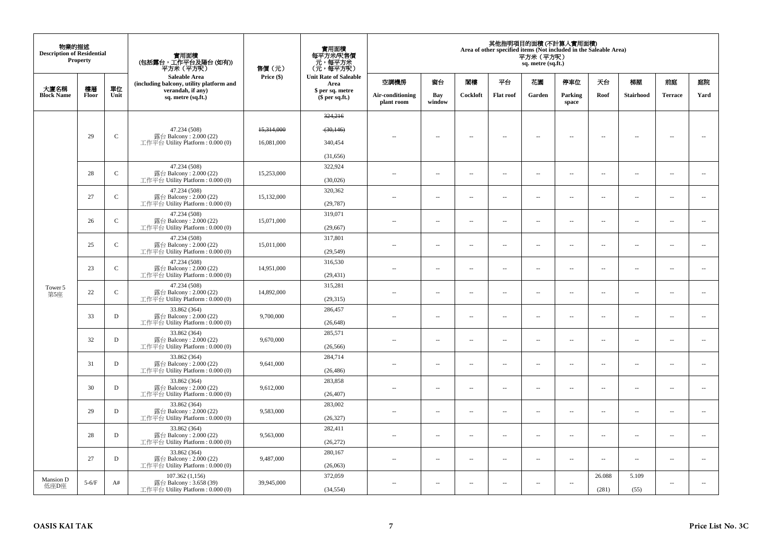| 物業的描述<br><b>Description of Residential</b><br>Property |             |              | 實用面積<br>(包括露台,工作平台及陽台(如有))<br>平方米 (平方呎)                                    | 售價(元)<br>Price (\$) | 實用面積<br>每平方米/呎售價<br>元,每平方米<br>(元,每平方呎) | 其他指明項目的面積 (不計算入實用面積)<br>Area of other specified items (Not included in the Saleable Area)<br>平方米 (平方呎)<br>sq. metre (sq.ft.) |                          |          |                          |                          |                          |                          |                          |                          |                          |  |  |
|--------------------------------------------------------|-------------|--------------|----------------------------------------------------------------------------|---------------------|----------------------------------------|------------------------------------------------------------------------------------------------------------------------------|--------------------------|----------|--------------------------|--------------------------|--------------------------|--------------------------|--------------------------|--------------------------|--------------------------|--|--|
|                                                        |             |              | Saleable Area<br>(including balcony, utility platform and                  |                     | <b>Unit Rate of Saleable</b><br>Area   | 空調機房                                                                                                                         | 窗台                       | 関樓       | 平台                       | 花園                       | 停車位                      | 天台                       | 梯屋                       | 前庭                       | 庭院                       |  |  |
| 大廈名稱<br><b>Block Name</b>                              | 樓層<br>Floor | 單位<br>Unit   | verandah, if any)<br>sq. metre (sq.ft.)                                    |                     | \$ per sq. metre<br>$$$ per sq.ft.)    | Air-conditioning<br>plant room                                                                                               | Bay<br>window            | Cockloft | <b>Flat roof</b>         | Garden                   | Parking<br>space         | Roof                     | <b>Stairhood</b>         | <b>Terrace</b>           | Yard                     |  |  |
|                                                        |             |              |                                                                            |                     | 324,216                                |                                                                                                                              |                          |          |                          |                          |                          |                          |                          |                          |                          |  |  |
|                                                        |             |              | 47.234 (508)                                                               | 15,314,000          | (30, 146)                              |                                                                                                                              |                          |          |                          |                          |                          |                          |                          |                          |                          |  |  |
|                                                        | 29          | $\mathsf{C}$ | 露台 Balcony: 2.000 (22)<br>工作平台 Utility Platform: 0.000 (0)                 | 16,081,000          | 340,454                                | $\sim$                                                                                                                       | $\sim$                   | $\sim$   | $\sim$                   | $\sim$                   | $\sim$                   | $\sim$                   | $\sim$                   | $\overline{\phantom{a}}$ | $\sim$                   |  |  |
|                                                        |             |              |                                                                            |                     | (31, 656)                              |                                                                                                                              |                          |          |                          |                          |                          |                          |                          |                          |                          |  |  |
|                                                        |             |              | 47.234 (508)                                                               |                     | 322,924                                |                                                                                                                              |                          |          |                          |                          |                          |                          |                          |                          |                          |  |  |
|                                                        | 28          | $\mathbf{C}$ | 露台 Balcony: 2.000 (22)<br>工作平台 Utility Platform: 0.000 (0)                 | 15,253,000          | (30,026)                               | $\sim$                                                                                                                       | $\overline{\phantom{a}}$ | $\sim$   | $\overline{\phantom{a}}$ | $\overline{\phantom{a}}$ | $\sim$                   | $\sim$                   | $\overline{\phantom{a}}$ | $\overline{\phantom{a}}$ | $\ddotsc$                |  |  |
|                                                        | 27          | $\mathbf C$  | 47.234 (508)<br>露台 Balcony: 2.000 (22)                                     | 15,132,000          | 320,362                                | $\sim$                                                                                                                       | $\sim$                   | $\sim$   | $\sim$                   | μ.                       | $\sim$                   | $\overline{\phantom{a}}$ | $\overline{\phantom{a}}$ | $\bar{a}$                | $\overline{\phantom{a}}$ |  |  |
|                                                        |             |              | 工作平台 Utility Platform : $0.000(0)$                                         |                     | (29, 787)                              |                                                                                                                              |                          |          |                          |                          |                          |                          |                          |                          |                          |  |  |
|                                                        | 26          | $\mathbf C$  | 47.234 (508)<br>露台 Balcony: 2.000 (22)                                     | 15,071,000          | 319,071                                | $\sim$                                                                                                                       | $\overline{\phantom{a}}$ | $\sim$   | $\overline{\phantom{a}}$ | $\overline{\phantom{a}}$ | $\sim$                   | $\overline{\phantom{a}}$ | $\overline{\phantom{a}}$ | $\overline{\phantom{a}}$ | $\overline{\phantom{a}}$ |  |  |
|                                                        |             |              | 工作平台 Utility Platform: 0.000 (0)                                           |                     | (29, 667)                              |                                                                                                                              |                          |          |                          |                          |                          |                          |                          |                          |                          |  |  |
|                                                        | 25          | $\mathbf{C}$ | 47.234 (508)<br>露台 Balcony: 2.000 (22)                                     | 15,011,000          | 317,801                                | $\sim$                                                                                                                       | $\overline{\phantom{a}}$ | $\sim$   | $\sim$                   | $\overline{\phantom{a}}$ | $\sim$                   | $\overline{\phantom{a}}$ | $\overline{\phantom{a}}$ | $\sim$                   | $\sim$                   |  |  |
|                                                        |             |              | 工作平台 Utility Platform: 0.000 (0)                                           |                     | (29, 549)                              |                                                                                                                              |                          |          |                          |                          |                          |                          |                          |                          |                          |  |  |
|                                                        | 23          | $\mathbf{C}$ | 47.234 (508)<br>露台 Balcony: 2.000 (22)                                     | 14,951,000          | 316,530                                | $\sim$                                                                                                                       | $\overline{\phantom{a}}$ | $\sim$   | $\overline{\phantom{a}}$ | $\overline{\phantom{a}}$ | $\sim$                   | $\sim$                   | $\overline{\phantom{a}}$ | $\overline{\phantom{a}}$ | $\sim$                   |  |  |
|                                                        |             |              | 工作平台 Utility Platform: 0.000 (0)                                           |                     | (29, 431)<br>315,281                   |                                                                                                                              |                          |          |                          |                          |                          |                          |                          |                          |                          |  |  |
| Tower 5<br>第5座                                         | 22          | $\mathbf{C}$ | 47.234 (508)<br>露台 Balcony: 2.000 (22)<br>工作平台 Utility Platform: 0.000 (0) | 14,892,000          |                                        | ×.                                                                                                                           | $\overline{a}$           | $\sim$   | $\sim$                   | $\overline{a}$           | $\sim$                   | $\sim$                   | $\overline{\phantom{a}}$ | $\overline{\phantom{a}}$ | $\sim$                   |  |  |
|                                                        |             |              | 33.862 (364)                                                               |                     | (29, 315)<br>286,457                   |                                                                                                                              |                          |          |                          |                          |                          |                          |                          |                          |                          |  |  |
|                                                        | 33          | D            | 露台 Balcony: 2.000 (22)                                                     | 9,700,000           |                                        | $\overline{\phantom{a}}$                                                                                                     | $\overline{\phantom{a}}$ | $\sim$   | $\overline{\phantom{a}}$ | $\overline{\phantom{a}}$ | $\overline{\phantom{a}}$ | $\overline{\phantom{a}}$ | $\overline{\phantom{a}}$ | $\sim$                   | $\overline{\phantom{a}}$ |  |  |
|                                                        |             |              | 工作平台 Utility Platform: 0.000 (0)<br>33.862 (364)                           |                     | (26, 648)<br>285,571                   |                                                                                                                              |                          |          |                          |                          |                          |                          |                          |                          |                          |  |  |
|                                                        | 32          | D            | 露台 Balcony: 2.000 (22)<br>工作平台 Utility Platform: 0.000 (0)                 | 9,670,000           | (26, 566)                              | $-$                                                                                                                          | $\sim$                   | $\sim$   | $\sim$                   | $\sim$                   | $\sim$                   | $\sim$                   | $\overline{\phantom{a}}$ | $\sim$                   | $\sim$                   |  |  |
|                                                        |             |              | 33.862 (364)                                                               |                     | 284,714                                |                                                                                                                              |                          |          |                          |                          |                          |                          |                          |                          |                          |  |  |
|                                                        | 31          | D            | 露台 Balcony: 2.000 (22)<br>工作平台 Utility Platform: 0.000 (0)                 | 9,641,000           | (26, 486)                              |                                                                                                                              | $\sim$                   | $\sim$   | $\ddot{\phantom{a}}$     | μ.                       | $\sim$                   | $\overline{\phantom{a}}$ | $\overline{\phantom{a}}$ | $\bar{a}$                | $\overline{\phantom{a}}$ |  |  |
|                                                        |             |              | 33.862 (364)                                                               |                     | 283,858                                |                                                                                                                              |                          |          |                          |                          |                          |                          |                          |                          |                          |  |  |
|                                                        | 30          | D            | 露台 Balcony: 2.000 (22)<br>工作平台 Utility Platform : $0.000(0)$               | 9,612,000           | (26, 407)                              | $\sim$ $\sim$                                                                                                                | $\sim$                   | $\sim$   | $\sim$                   | $\sim$                   | $\sim$                   | $\sim$                   | $\sim$                   | $\sim$                   | $\sim$                   |  |  |
|                                                        |             |              | 33.862 (364)                                                               |                     | 283,002                                |                                                                                                                              |                          |          |                          |                          |                          |                          |                          |                          |                          |  |  |
|                                                        | 29          | D            | 露台 Balcony: 2.000 (22)<br>工作平台 Utility Platform: 0.000 (0)                 | 9,583,000           | (26, 327)                              | $\sim$                                                                                                                       | $\sim$                   | $\sim$   | $\sim$                   | $\overline{\phantom{a}}$ | $\sim$                   | $\sim$                   | $\overline{\phantom{a}}$ | $\sim$                   | $\sim$                   |  |  |
|                                                        | 28          | D            | 33.862 (364)<br>露台 Balcony: 2.000 (22)                                     | 9,563,000           | 282,411                                | $-$                                                                                                                          | $\overline{\phantom{a}}$ | $\sim$   | $\sim$                   | --                       | $\sim$                   | $\overline{\phantom{a}}$ | $\overline{\phantom{a}}$ | $\sim$                   | $\sim$                   |  |  |
|                                                        |             |              | 工作平台 Utility Platform: 0.000 (0)                                           |                     | (26, 272)                              |                                                                                                                              |                          |          |                          |                          |                          |                          |                          |                          |                          |  |  |
|                                                        | 27          | D            | 33.862 (364)<br>露台 Balcony: 2.000 (22)                                     | 9,487,000           | 280,167                                | $\sim$                                                                                                                       | $\sim$                   | $\sim$   | $\sim$                   | μ.                       | $\sim$                   | $\sim$                   | $\overline{\phantom{a}}$ | $\sim$                   | $\sim$                   |  |  |
|                                                        |             |              | 工作平台 Utility Platform: 0.000 (0)                                           |                     | (26,063)                               |                                                                                                                              |                          |          |                          |                          |                          |                          |                          |                          |                          |  |  |
| <b>Mansion D</b>                                       | $5-6/F$     | A#           | 107.362 (1,156)<br>露台 Balcony: 3.658 (39)                                  | 39,945,000          | 372,059                                | $\sim$ $-$                                                                                                                   | $\overline{\phantom{a}}$ | $\sim$   | $\overline{\phantom{a}}$ | $\overline{\phantom{a}}$ | $\sim$                   | 26.088                   | 5.109                    | $\overline{\phantom{a}}$ |                          |  |  |
| 低座D座                                                   |             |              | 工作平台 Utility Platform : 0.000 (0)                                          |                     | (34, 554)                              |                                                                                                                              |                          |          |                          |                          |                          | (281)                    | (55)                     |                          |                          |  |  |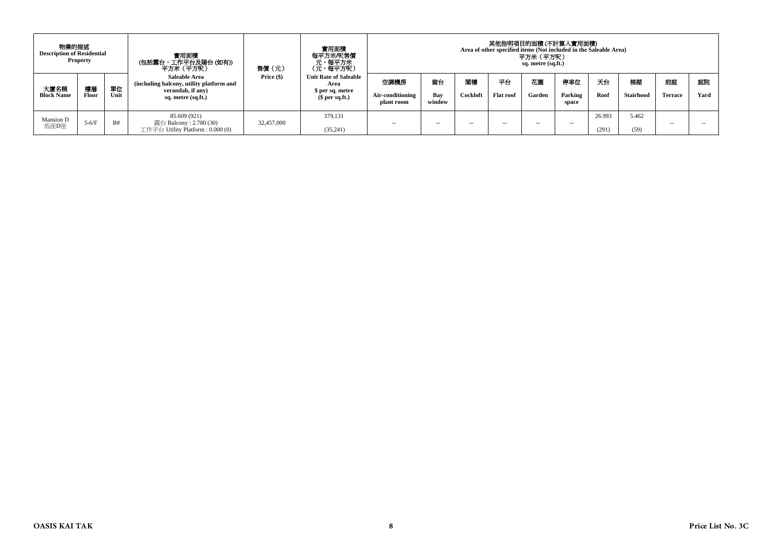| 物業的描述<br><b>Description of Residential</b> | <b>Property</b> |            | 實用面積<br>(包括露台,工作平台及陽台(如有))<br>平方米(平方呎)                                                                      | 售價(元)      | <b>實用面積</b><br>每平方米/呎售價<br>、元<br>(元,每平方米)<br>(元,每平方呎)                       | 其他指明項目的面積 (不計算入實用面積)<br>Area of other specified items (Not included in the Saleable Area)<br>平方米 (平方呎)<br>sq. metre (sq.ft.) |                     |                |                        |               |                         |                 |                        |               |            |
|--------------------------------------------|-----------------|------------|-------------------------------------------------------------------------------------------------------------|------------|-----------------------------------------------------------------------------|------------------------------------------------------------------------------------------------------------------------------|---------------------|----------------|------------------------|---------------|-------------------------|-----------------|------------------------|---------------|------------|
| 大廈名稱<br><b>Block Name</b>                  | 樓層<br>Floor     | 單位<br>Unit | <b>Saleable Area</b><br>(including balcony, utility platform and<br>verandah, if any)<br>sq. metre (sq.ft.) | Price (\$) | <b>Unit Rate of Saleable</b><br>Area<br>\$ per sq. metre<br>$$$ per sq.ft.) | 空調機房<br>Air-conditioning<br>plant room                                                                                       | 窗台<br>Bay<br>window | 閉構<br>Cockloft | 平台<br><b>Flat roof</b> | 花園<br>Garden  | 停車位<br>Parking<br>space | 天台<br>Roof      | 梯屋<br><b>Stairhood</b> | 前庭<br>Terrace | 庭院<br>Yard |
| Mansion D<br>低座D座                          | $5-6/F$         | B#         | 85.609 (921)<br>露台 Balcony : 2.780 (30)<br>工作平台 Utility Platform : 0.000 (0)                                | 32,457,000 | 379.131<br>(35, 241)                                                        | $\sim$ $-$                                                                                                                   | $\sim$ $\sim$       | $\sim$         | $\sim$                 | $\sim$ $\sim$ | $\sim$                  | 26.993<br>(291) | 5.462<br>(59)          | --            |            |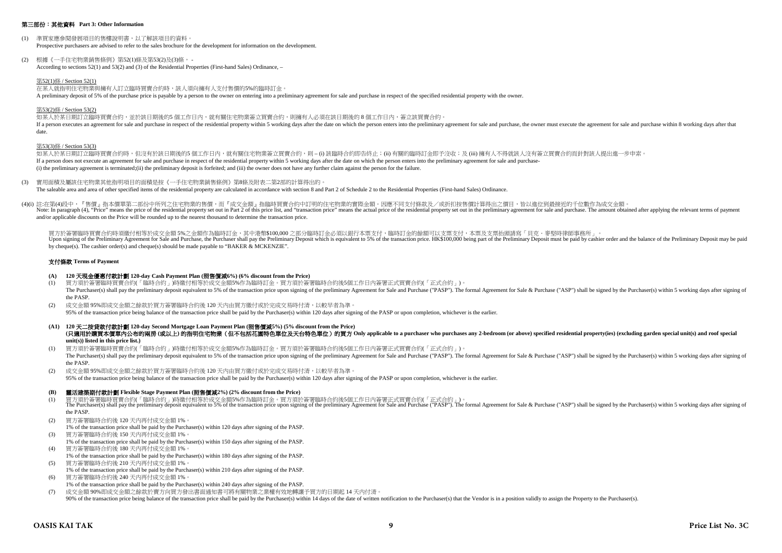#### 第三部份:其他資料 **Part 3: Other Information**

- (1) 準買家應參閱發展項目的售樓說明書,以了解該項目的資料。 Prospective purchasers are advised to refer to the sales brochure for the development for information on the development.
- (2) 根據《一手住宅物業銷售條例》第52(1)條及第53(2)及(3)條, According to sections 52(1) and 53(2) and (3) of the Residential Properties (First-hand Sales) Ordinance, –

#### 第52(1)條 / Section 52(1)

在某人就指明住宅物業與擁有人訂立臨時買賣合約時,該人須向擁有人支付售價的5%的臨時訂金 A preliminary deposit of 5% of the purchase price is payable by a person to the owner on entering into a preliminary agreement for sale and purchase in respect of the specified residential property with the owner.

#### 第53(2)條 / Section 53(2)

如某人於某日期訂立臨時買賣合約,並於該日期後的5 個工作日内,就有關住宅物業簽立買賣合約,則擁有人必須在該日期後的 8 個工作日内,簽立該買賣合約。 If a person executes an agreement for sale and purchase in respect of the residential property within 5 working days after the date on which the person enters into the neuliminary agreement for sale and purchase. the owner date.

#### 第53(3)條 / Section 53(3)

如某人於某日期訂立臨時買賣合約時,但沒有於該日期後的5個工作日內,就有關住宅物業簽立買賣合約,則 – (i) 該臨時合約即告終止;(ii) 有關的臨時訂金即予沒收;及 (iii) 擁有人不得就該人沒有簽立買賣合約而針對該人提出進一步申索。 If a person does not execute an agreement for sale and purchase in respect of the residential property within 5 working days after the date on which the person enters into the preliminary agreement for sale and purchase- (i) the preliminary agreement is terminated;(ii) the preliminary deposit is forfeited; and (iii) the owner does not have any further claim against the person for the failure.

- (3) 實用面積及屬該住宅物業其他指明項目的面積是按《一手住宅物業銷售條例》第8條及附表二第2部的計算得出的。 The saleable area and area of other specified items of the residential property are calculated in accordance with section 8 and Part 2 of Schedule 2 to the Residential Properties (First-hand Sales) Ordinance.
- (4)(i) 註:在第(4)段中,『售價』指本價單第二部份中所列之住宅物業的售價,而『成交金額』指臨時買賣合約中訂明的住宅物業的實際金額。因應不同支付條款及/或折扣按售價計算得出之價目,皆以進位到最接近的千位數作為成交金額。 Note: In paragraph (4), "Price" means the price of the residential property set out in Part 2 of this price list, and "transaction price" means the actual price of the residential property set out in the preliminary agreem and/or applicable discounts on the Price will be rounded up to the nearest thousand to determine the transaction price.

買方於簽署臨時買賣合約時須繳付相等於成交金額 5%之金額作為臨時訂金,其中港幣\$100,000 之部分臨時訂金必須以銀行本票支付,臨時訂金的餘額可以支票支付,本票及支票抬頭請寫「貝克·麥堅時律師事務所」。 Upon signing of the Preliminary Agreement for Sale and Purchase, the Purchaser shall pay the Preliminary Deposit which is equivalent to 5% of the transaction price. HK\$100,000 being part of the Preliminary Deposit must be by cheque(s). The cashier order(s) and cheque(s) should be made payable to "BAKER & MCKENZIE".

#### 支付條款 **Terms of Payment**

#### **(A) 120** 天現金優惠付款計劃 **120-day Cash Payment Plan (**照售價減**6%) (6% discount from the Price)**

- (1) 買方須於簽署臨時買賣合約(「臨時合約」)時繳付相等於成交金額5%作為臨時訂金。買方須於簽署臨時合約後5個工作日內簽署正式買賣合約(「正式合約」)。 The Purchaser(s) shall pay the preliminary deposit equivalent to 5% of the transaction price upon signing of the preliminary Agreement for Sale and Purchase ("PASP"). The formal Agreement for Sale & Purchase ("ASP") shall the PASP.
- (2) 成交金額 95%即成交金額之餘款於買方簽署臨時合約後 120 天內由買方繳付或於完成交易時付清,以較早者為準。 95% of the transaction price being balance of the transaction price shall be paid by the Purchaser(s) within 120 days after signing of the PASP or upon completion, whichever is the earlier.
- **(A1) 120** 天二按貸款付款計劃 **120-day Second Mortgage Loan Payment Plan (**照售價減**5%) (5% discount from the Price)** (只適用於講買本價單内公布的兩房(或以上)的指明住宅物業 (但不包括花園特色單位及天台特色單位) 的買方 Only applicable to a purchaser who purchases any 2-bedroom (or above) specified residential property(ies) (excluding garden special unit(s) and roof special **unit(s)) listed in this price list.)**
- (1) 買方須於簽署臨時買賣合約(「臨時合約」)時繳付相等於成交金額5%作為臨時訂金。買方須於簽署臨時合約後5個工作日內簽署正式買賣合約(「正式合約」)。 The Purchaser(s) shall pay the preliminary deposit equivalent to 5% of the transaction price upon signing of the preliminary Agreement for Sale and Purchase ("PASP"). The formal Agreement for Sale & Purchase ("ASP") shall the PASP.
- (2) 成交金額 95%即成交金額之餘款於買方簽署臨時合約後 120 天內由買方繳付或於完成交易時付清,以較早者為準。 95% of the transaction price being balance of the transaction price shall be paid by the Purchaser(s) within 120 days after signing of the PASP or upon completion, whichever is the earlier.

### **(B)** 靈活建築期付款計劃 **Flexible Stage Payment Plan (**照售價減**2%) (2% discount from the Price)**

- (1) 買方須於簽署臨時買賣合約(「臨時合約」)時繳付相等於成交金額5%作為臨時訂金。買方須於簽署臨時合約後5個工作日内簽署正式買賣合約(「正式合約」)。<br>The Purchaser(s) shall pay the preliminary deposit equivalent to 5% of the transaction price upon signing of the preliminary Agreement for Sale the PASP.
- (2) 買方簽署臨時合約後 120 天內再付成交金額 1%。
- 1% of the transaction price shall be paid by the Purchaser(s) within 120 days after signing of the PASP.
- (3) 買方簽署臨時合約後 150 天內再付成交金額 1%。 1% of the transaction price shall be paid by the Purchaser(s) within 150 days after signing of the PASP.
- (4) 買方簽署臨時合約後 180 天內再付成交金額 1%。
- 1% of the transaction price shall be paid by the Purchaser(s) within 180 days after signing of the PASP. (5) 買方簽署臨時合約後 210 天內再付成交金額 1%。
- 1% of the transaction price shall be paid by the Purchaser(s) within 210 days after signing of the PASP.
- (6) 買方簽署臨時合約後 240 天內再付成交金額 1%。
- 1% of the transaction price shall be paid by the Purchaser(s) within 240 days after signing of the PASP.
- (7) 成交金額 90%即成交金額之餘款於賣方向買方發出書面通知書可將有關物業之業權有效地轉讓予買方的日期起 14 天內付清。 90% of the transaction price being balance of the transaction price shall be paid by the Purchaser(s) within 14 days of the date of written notification to the Purchaser(s) that the Vendor is in a position validly to assig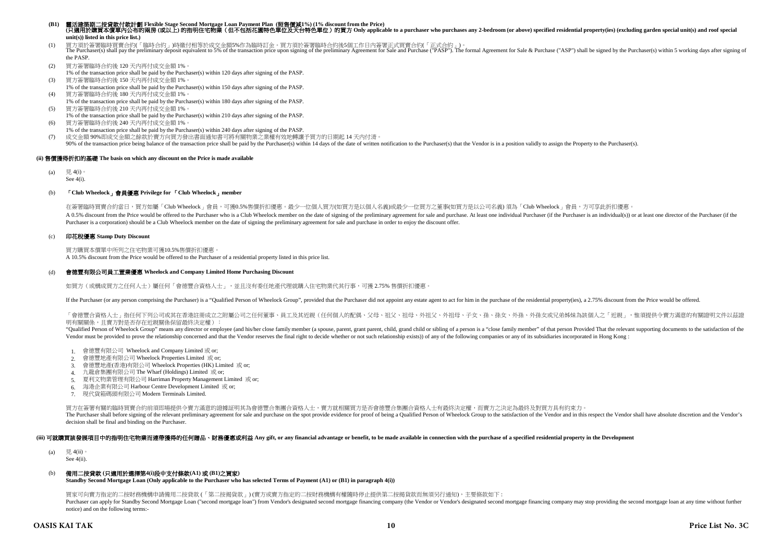# (B1) 靈活建築期二按貸款付款計劃 Flexible Stage Second Mortgage Loan Payment Plan(照售價減1%) (1% discount from the Price)<br>(只適用於購買本價單內公布的兩房 (或以上) 的指明住宅物業(但不包括花園特色單位及天台特色單位)的買方 Only applicable to a purchaser who purchases any 2-bedroom (or **unit(s)) listed in this price list.)**

(1) 買方須於簽署臨時買賣合約(「臨時合約」)時繳付相等於成交金額5%作為臨時訂金。買方須於簽署臨時合約後5個工作日内簽署正式買賣合約(「正式合約」)。<br>The Purchaser(s) shall pay the preliminary deposit equivalent to 5% of the transaction price upon signing of the preliminary Agreement for Sale the PASP.

- (2) 買方簽署臨時合約後 120 天內再付成交金額 1%。
- 1% of the transaction price shall be paid by the Purchaser(s) within 120 days after signing of the PASP. (3) 買方簽署臨時合約後 150 天內再付成交金額 1%。
- 1% of the transaction price shall be paid by the Purchaser(s) within 150 days after signing of the PASP.
- (4) 買方簽署臨時合約後 180 天內再付成交金額 1%。 1% of the transaction price shall be paid by the Purchaser(s) within 180 days after signing of the PASP.
- (5) 買方簽署臨時合約後 210 天內再付成交金額 1%。
- 1% of the transaction price shall be paid by the Purchaser(s) within 210 days after signing of the PASP.
- (6) 買方簽署臨時合約後 240 天內再付成交金額 1%。
- 1% of the transaction price shall be paid by the Purchaser(s) within 240 days after signing of the PASP.
- (7) 成交金額 90%即成交金額之餘款於賣方向買方發出書面通知書可將有關物業之業權有效地轉讓予買方的日期起 14 天內付清。
- 90% of the transaction price being balance of the transaction price shall be paid by the Purchaser(s) within 14 days of the date of written notification to the Purchaser(s) that the Vendor is in a position validly to assig

### **(ii)** 售價獲得折扣的基礎 **The basis on which any discount on the Price is made available**

- (a) 見 4(i)。
- See 4(i).

## (b) 「**Club Wheelock**」會員優惠 **Privilege for** 「**Club Wheelock**」**member**

在簽署臨時買賣合約當日,買方如屬「Club Wheelock」會員,可獲0.5%售價折扣優惠。最少一位個人買方(如買方是以個人名義)或最少一位買方之董事(如買方是以公司名義) 須為「Club Wheelock」會員,方可享此折扣優惠

A 0.5% discount from the Price would be offered to the Purchaser who is a Club Wheelock member on the date of signing of the preliminary agreement for sale and purchase. At least one individual Purchaser (if the Purchaser Purchaser is a corporation) should be a Club Wheelock member on the date of signing the preliminary agreement for sale and purchase in order to enjoy the discount offer.

#### (c) 印花稅優惠 **Stamp Duty Discount**

買方購買本價單中所列之住宅物業可獲10.5%售價折扣優惠。

A 10.5% discount from the Price would be offered to the Purchaser of a residential property listed in this price list.

#### (d) 會德豐有限公司員工置業優惠 **Wheelock and Company Limited Home Purchasing Discount**

如買方(或構成買方之任何人士)屬任何「會德豐合資格人士」,並且沒有委任地產代理就購入住宅物業代其行事,可獲 2.75% 售價折扣優惠

If the Purchaser (or any person comprising the Purchaser) is a "Qualified Person of Wheelock Group", provided that the Purchaser did not appoint any estate agent to act for him in the purchase of the residential property(i

「會德豐合資格人士」指任何下列公司或其在香港註冊成立之附屬公司之任何董事、員工及其近親(任何個人的配偶、父母、祖父、祖母、外祖父、外祖母、子女、孫、孫女、外孫、外孫女或兄弟姊妹為該個人之「近親」,惟須提供令賣方滿意的有關證明文件以茲證 明有關關係,且賣方對是否存在近親關係保留最終決定權):

"Qualified Person of Wheelock Group" means any director or employee (and his/her close family member (a spouse, parent, grant parent, child, grand child or sibling of a person is a "close family member" of that person Prov Vendor must be provided to prove the relationship concerned and that the Vendor reserves the final right to decide whether or not such relationship exists)) of any of the following companies or any of its subsidiaries inco

- 1. 會德豐有限公司 Wheelock and Company Limited 或 or;
- 2. 會德豐地產有限公司 Wheelock Properties Limited 或 or;
- 3. 會德豐地產(香港)有限公司 Wheelock Properties (HK) Limited 或 or;
- 4. 九龍倉集團有限公司 The Wharf (Holdings) Limited 或 or;
- 5. 夏利文物業管理有限公司 Harriman Property Management Limited 或 or;
- 6. 海港企業有限公司 Harbour Centre Development Limited 或 or;
- 7. 現代貨箱碼頭有限公司 Modern Terminals Limited.

買方在簽署有關的臨時買賣合約前須即場提供令賣方滿意的證據証明其為會德豐合集團合資格人士,賣方就相關買方是否會德豐合集團合資格人士有最終決定權,而賣方之決定為最終及對買方具有約束力。

The Purchaser shall before signing of the relevant preliminary agreement for sale and purchase on the spot provide evidence for proof of being a Qualified Person of Wheelock Group to the satisfaction of the Vendor and in t decision shall be final and binding on the Purchaser.

#### (iii) 可**就講買該發展項目中的指明住宅物業而連帶獲得的任何贈品、財務優惠或利益** Any gift, or any financial advantage or benefit, to be made available in connection with the purchase of a specified residential property in the Development

(a)  $\boxplus$  4(ii)

See 4(ii).

## (b) 備用二按貸款 **(**只適用於選擇第**4(i)**段中支付條款**(A1)** 或 **(B1)**之買家**)**

**Standby Second Mortgage Loan (Only applicable to the Purchaser who has selected Terms of Payment (A1) or (B1) in paragraph 4(i))**

買家可向賣方指定的二按財務機構申請備用二按貸款 (「第二按揭貨款」) (賣方或賣方指定的二按財務機構有權隨時停止提供第二按揭貨款而無須另行通知),主要條款如下 :

Purchaser can apply for Standby Second Mortgage Loan ("second mortgage loan") from Vendor's designated second mortgage financing company (the Vendor or Vendor's designated second mortgage financing company may stop providi notice) and on the following terms:-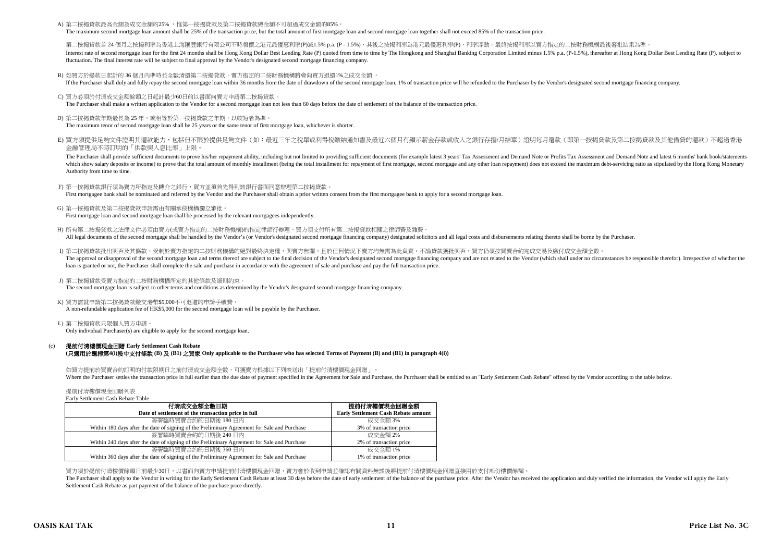A) 第二按揭貸款最高金額為成交金額的25% ,惟第一按揭貸款及第二按揭貸款總金額不可超過成交金額的85%。

The maximum second mortgage loan amount shall be 25% of the transaction price, but the total amount of first mortgage loan and second mortgage loan together shall not exceed 85% of the transaction price.

第二按揭管款首 24 個月之按揭利率為香港上海匯豐銀行有限公司不時報價之港元最優惠利率(P)減1.5% p.a. (P - 1.5%),其後之按揭利率為港元最優惠利率(P),利率浮動。最終按揭利率以賣方指定的二按財務機構最後審批結果為進 Interest rate of second morteage loan for the first 24 months shall be Hong Kong Dollar Best Lending Rate (P) quoted from time to time by The Hongkong and Shanghai Banking Corporation Limited minus 1.5% p.a. (P-1.5%), ther fluctuation. The final interest rate will be subject to final approval by the Vendor's designated second mortgage financing company.

B) 如買方於提款日起計的 36 個月內準時並全數清還第二按揭貸款,賣方指定的二按財務機構將會向買方退還1%之成交金額 。

If the Purchaser shall duly and fully repay the second mortgage loan within 36 months from the date of drawdown of the second mortgage loan, 1% of transaction price will be refunded to the Purchaser by the Vendor's designa

C) 買方必須於付清成交金額餘額之日起計最少60日前以書面向賣方申請第二按揭貸款。

The Purchaser shall make a written application to the Vendor for a second mortgage loan not less than 60 days before the date of settlement of the balance of the transaction price.

- D) 第二按揭貸款年期最長為 25 年,或相等於第一按揭貸款之年期,以較短者為準。 The maximum tenor of second mortgage loan shall be 25 years or the same tenor of first mortgage loan, whichever is shorter.
- E) 買方須提供足夠文件證明其還款能力,包括但不限於提供足夠文件(如:最近三年之稅單或利得稅繳納通知書及最近六個月有顯示薪金存款或收入之銀行存摺/月結單)證明每月還款(即第一按揭貸款及第二按揭貸款及其他借貸的還款)不超過香港 金融管理局不時訂明的「供款與入息比率」上限。

The Purchaser shall provide sufficient documents to prove his/her repayment ability including but not limited to providing sufficient documents (for example latest 3 years' Tax Assessment and Demand Note or Profits Tax Ass which show salary deposits or income) to prove that the total amount of monthly installment (being the total installment for repayment of first mortgage, second mortgage and any other loan repayment) does not exceed the ma Authority from time to time.

- F) 第一按揭貸款銀行須為賣方所指定及轉介之銀行,買方並須首先得到該銀行書面同意辦理第二按揭貸款。 First mortgagee bank shall be nominated and referred by the Vendor and the Purchaser shall obtain a prior written consent from the first mortgagee bank to apply for a second mortgage loan.
- G) 第一按揭貸款及第二按揭貸款申請需由有關承按機構獨立審批。 First mortgage loan and second mortgage loan shall be processed by the relevant mortgagees independently.
- H) 所有第二按揭貸款之法律文件必須由賣方(或賣方指定的二按財務機構)的指定律師行辦理,買方須支付所有第二按揭貸款相關之律師費及雜費。 All legal documents of the second mortgage shall be handled by the Vendor's (or Vendor's designated second mortgage financing company) designated solicitors and all legal costs and disbursements relating thereto shall be b
- I) 第二按揭貸款批出與否及其條款,受制於賣方指定的二按財務機構的絕對最終決定權,與賣方無關,且於任何情況下賣方均無需為此負責。不論貸款獲批與否,買方仍須按買賣合約完成交易及繳付成交金額全數。 The approval or disapproval of the second mortgage loan and terms thereof are subject to the final decision of the Vendor's designated second mortgage financing company and are not related to the Vendor (which shall under loan is granted or not, the Purchaser shall complete the sale and purchase in accordance with the agreement of sale and purchase and pay the full transaction price.

#### J) 第二按揭貨款受賣方指定的二按財務機構所定的其他條款及細則約束。

The second mortgage loan is subject to other terms and conditions as determined by the Vendor's designated second mortgage financing company.

K) 買方需就申請第二按揭貸款繳交港幣\$5,000不可退還的申請手續費。 A non-refundable application fee of HK\$5,000 for the second mortgage loan will be payable by the Purchaser.

L) 第二按揭貸款只限個人買方申請。 Only individual Purchaser(s) are eligible to apply for the second mortgage loan.

#### $(c)$ 提前付清樓價現金回贈 **Early Settlement Cash Rebate (**只適用於選擇第**4(i)**段中支付條款 **(B)** 及 **(B1)** 之買家 **Only applicable to the Purchaser who has selected Terms of Payment (B) and (B1) in paragraph 4(i))**

如買方提前於買賣合約訂明的付款限期日之前付清成交金額全數,可獲賣方根據以下列表送出「提前付清樓價現金回贈」。 Where the Purchaser settles the transaction price in full earlier than the due date of payment specified in the Agreement for Sale and Purchase, the Purchaser shall be entitled to an "Early Settlement Cash Rebate" offered

# 提前付清樓價現金回贈列表

Early Settlement Cash Rebate Table

| 付清成交金額全數日期<br>Date of settlement of the transaction price in full                            | 提前付清樓價現金回贈金額<br><b>Early Settlement Cash Rebate amount</b> |
|----------------------------------------------------------------------------------------------|------------------------------------------------------------|
| 簽署臨時買賣合約的日期後 180 日内                                                                          | 成交金額 3%                                                    |
| Within 180 days after the date of signing of the Preliminary Agreement for Sale and Purchase | 3% of transaction price                                    |
| 簽署臨時買賣合約的日期後 240 日内                                                                          | 成交金額 2%                                                    |
| Within 240 days after the date of signing of the Preliminary Agreement for Sale and Purchase | 2% of transaction price                                    |
| 簽署臨時買賣合約的日期後 360 日内                                                                          | 成交金額 1%                                                    |
| Within 360 days after the date of signing of the Preliminary Agreement for Sale and Purchase | 1% of transaction price                                    |

買方須於提前付清樓價餘額日前最少30日,以書面向賣方申請提前付清樓價現金回贈,賣方會於收到申請並確認有關資料無誤後將提前付清樓價現金回贈直接用於支付部份樓價餘額。

The Purchaser shall apply to the Vendor in writing for the Early Settlement Cash Rebate at least 30 days before the date of early settlement of the balance of the balance of the purchase price. After the Vendor has receive Settlement Cash Rebate as part payment of the balance of the purchase price directly.